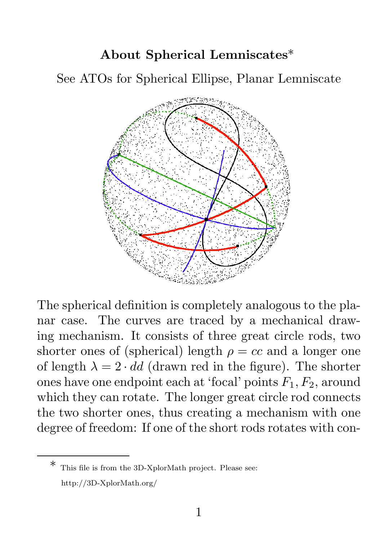## About Spherical Lemniscates\*

See ATOs for Spherical Ellipse, Planar Lemniscate



The spherical definition is completely analogous to the planar case. The curves are traced by a mechanical drawing mechanism. It consists of three great circle rods, two shorter ones of (spherical) length  $\rho = cc$  and a longer one of length  $\lambda = 2 \cdot dd$  (drawn red in the figure). The shorter ones have one endpoint each at 'focal' points  $F_1, F_2$ , around which they can rotate. The longer great circle rod connects the two shorter ones, thus creating a mechanism with one degree of freedom: If one of the short rods rotates with con-

This file is from the 3D-XplorMath project. Please see: http://3D-XplorMath.org/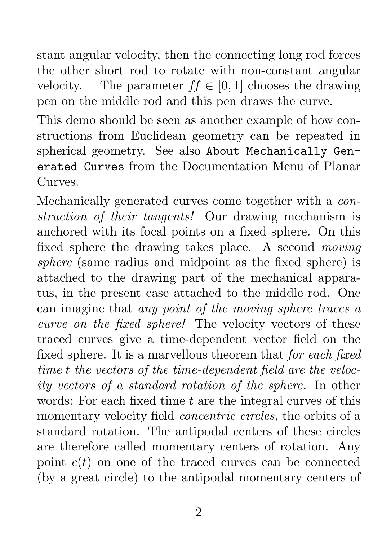stant angular velocity, then the connecting long rod forces the other short rod to rotate with non-constant angular velocity. – The parameter  $ff \in [0, 1]$  chooses the drawing pen on the middle rod and this pen draws the curve.

This demo should be seen as another example of how constructions from Euclidean geometry can be repeated in spherical geometry. See also About Mechanically Generated Curves from the Documentation Menu of Planar Curves.

Mechanically generated curves come together with a *construction of their tangents!* Our drawing mechanism is anchored with its focal points on a fixed sphere. On this fixed sphere the drawing takes place. A second *moving sphere* (same radius and midpoint as the fixed sphere) is attached to the drawing part of the mechanical apparatus, in the present case attached to the middle rod. One can imagine that *any point of the moving sphere traces a curve on the fixed sphere!* The velocity vectors of these traced curves give a time-dependent vector field on the fixed sphere. It is a marvellous theorem that *for each fixed time* t *the vectors of the time-dependent field are the velocity vectors of a standard rotation of the sphere.* In other words: For each fixed time  $t$  are the integral curves of this momentary velocity field *concentric circles,* the orbits of a standard rotation. The antipodal centers of these circles are therefore called momentary centers of rotation. Any point  $c(t)$  on one of the traced curves can be connected (by a great circle) to the antipodal momentary centers of